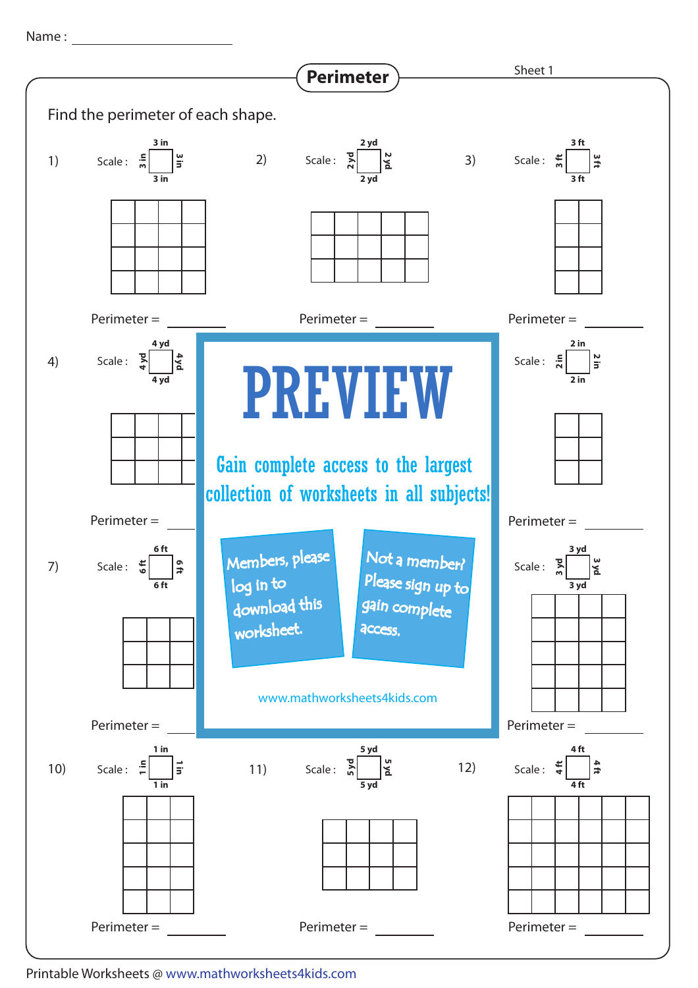Name : with the state of the state of the state of the state of the state of the state of the state of the state of the state of the state of the state of the state of the state of the state of the state of the state of th



Printable Worksheets @ www.mathworksheets4kids.com